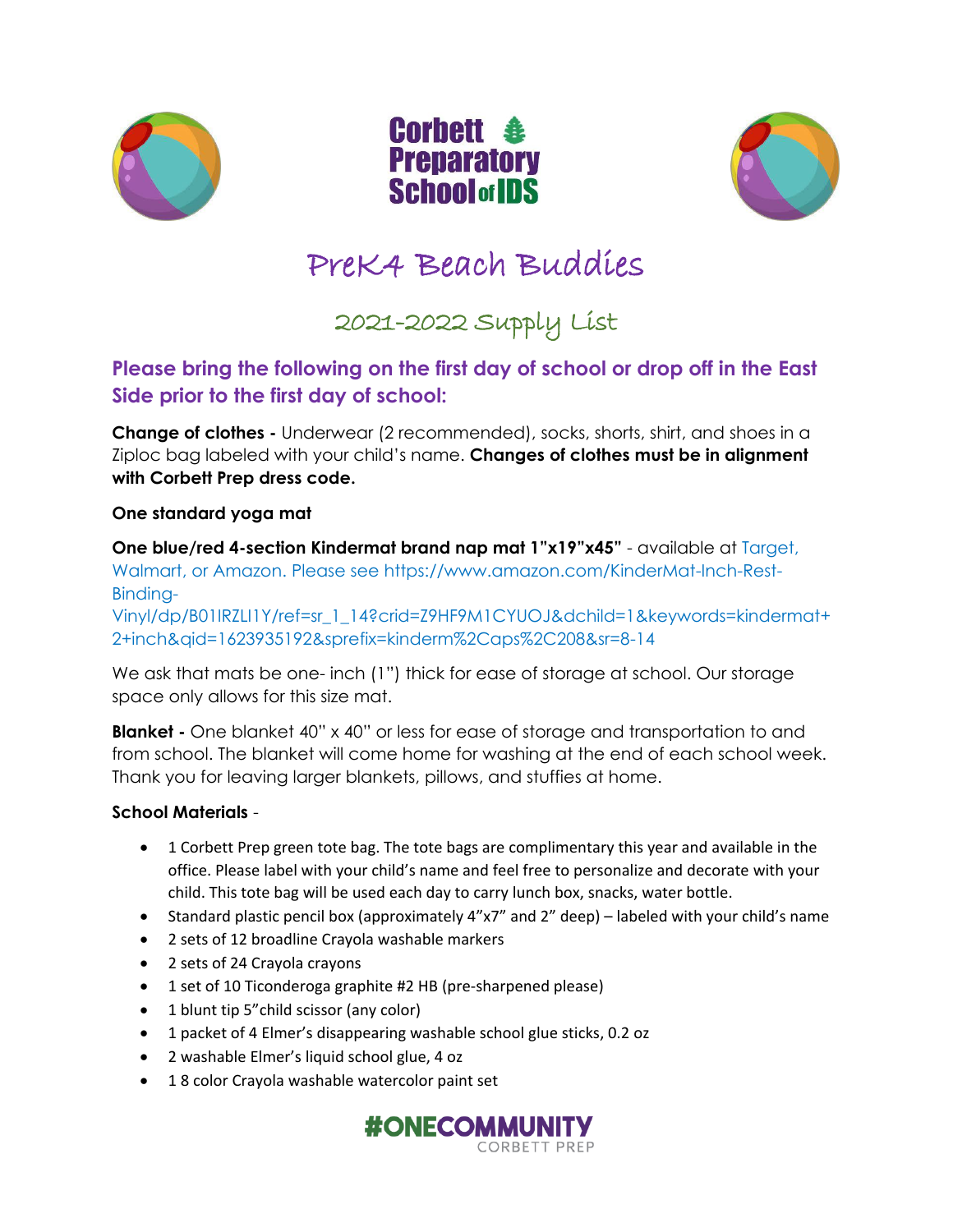





## PreK4 Beach Buddies

# 2021-2022 Supply List

### **Please bring the following on the first day of school or drop off in the East Side prior to the first day of school:**

**Change of clothes -** Underwear (2 recommended), socks, shorts, shirt, and shoes in a Ziploc bag labeled with your child's name. **Changes of clothes must be in alignment with Corbett Prep dress code.**

#### **One standard yoga mat**

**One blue/red 4-section Kindermat brand nap mat 1"x19"x45" - available at Target,** Walmart, or Amazon. Please see https://www.amazon.com/KinderMat-Inch-Rest-Binding-Vinyl/dp/B01IRZLI1Y/ref=sr\_1\_14?crid=Z9HF9M1CYUOJ&dchild=1&keywords=kindermat+

2+inch&qid=1623935192&sprefix=kinderm%2Caps%2C208&sr=8-14

We ask that mats be one- inch (1") thick for ease of storage at school. Our storage space only allows for this size mat.

**Blanket -** One blanket 40" x 40" or less for ease of storage and transportation to and from school. The blanket will come home for washing at the end of each school week. Thank you for leaving larger blankets, pillows, and stuffies at home.

#### **School Materials** -

- 1 Corbett Prep green tote bag. The tote bags are complimentary this year and available in the office. Please label with your child's name and feel free to personalize and decorate with your child. This tote bag will be used each day to carry lunch box, snacks, water bottle.
- Standard plastic pencil box (approximately 4"x7" and 2" deep) labeled with your child's name
- 2 sets of 12 broadline Crayola washable markers
- 2 sets of 24 Crayola crayons
- 1 set of 10 Ticonderoga graphite #2 HB (pre-sharpened please)
- 1 blunt tip 5"child scissor (any color)
- 1 packet of 4 Elmer's disappearing washable school glue sticks, 0.2 oz
- 2 washable Elmer's liquid school glue, 4 oz
- 1 8 color Crayola washable watercolor paint set